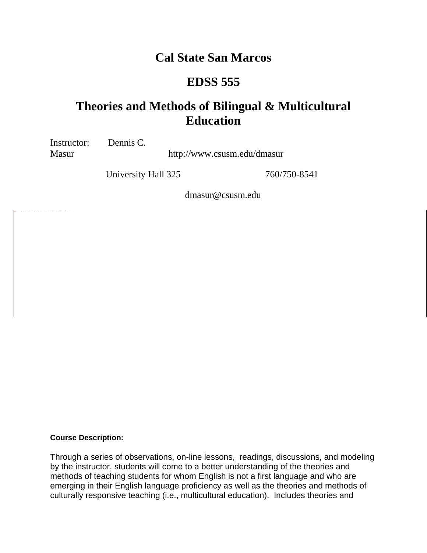# **Cal State San Marcos**

# **EDSS 555**

# **Theories and Methods of Bilingual & Multicultural Education**

Instructor: Dennis C.

The linked image cannot be displayed. The file may have been moved, renamed, or deleted. Verify that the link points to the correct file and location.

Masur http://www.csusm.edu/dmasur

University Hall 325 760/750-8541

dmasur@csusm.edu

#### **Course Description:**

Through a series of observations, on-line lessons, readings, discussions, and modeling by the instructor, students will come to a better understanding of the theories and methods of teaching students for whom English is not a first language and who are emerging in their English language proficiency as well as the theories and methods of culturally responsive teaching (i.e., multicultural education). Includes theories and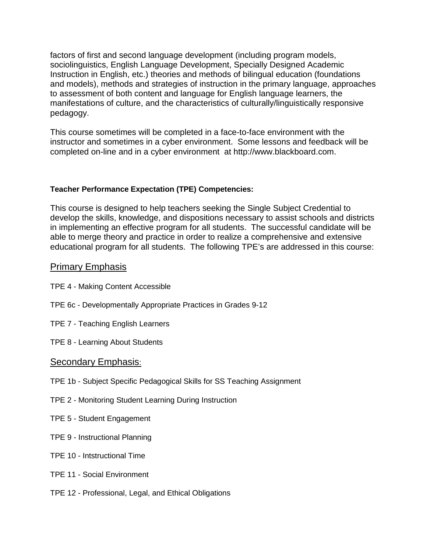factors of first and second language development (including program models, sociolinguistics, English Language Development, Specially Designed Academic Instruction in English, etc.) theories and methods of bilingual education (foundations and models), methods and strategies of instruction in the primary language, approaches to assessment of both content and language for English language learners, the manifestations of culture, and the characteristics of culturally/linguistically responsive pedagogy.

This course sometimes will be completed in a face-to-face environment with the instructor and sometimes in a cyber environment. Some lessons and feedback will be completed on-line and in a cyber environment at http://www.blackboard.com.

## **Teacher Performance Expectation (TPE) Competencies:**

This course is designed to help teachers seeking the Single Subject Credential to develop the skills, knowledge, and dispositions necessary to assist schools and districts in implementing an effective program for all students. The successful candidate will be able to merge theory and practice in order to realize a comprehensive and extensive educational program for all students. The following TPE's are addressed in this course:

## Primary Emphasis

- TPE 4 Making Content Accessible
- TPE 6c Developmentally Appropriate Practices in Grades 9-12
- TPE 7 Teaching English Learners
- TPE 8 Learning About Students

## Secondary Emphasis:

- TPE 1b Subject Specific Pedagogical Skills for SS Teaching Assignment
- TPE 2 Monitoring Student Learning During Instruction
- TPE 5 Student Engagement
- TPE 9 Instructional Planning
- TPE 10 Intstructional Time
- TPE 11 Social Environment
- TPE 12 Professional, Legal, and Ethical Obligations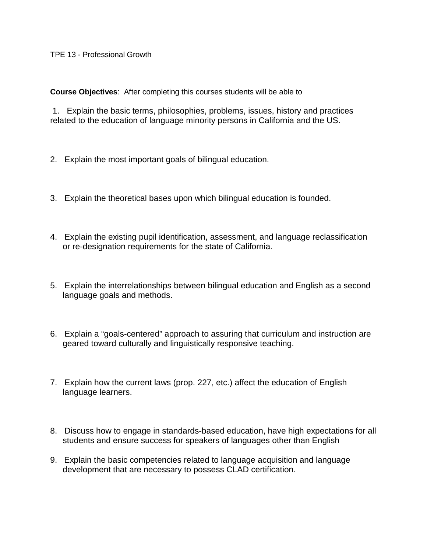**Course Objectives**: After completing this courses students will be able to

1. Explain the basic terms, philosophies, problems, issues, history and practices related to the education of language minority persons in California and the US.

- 2. Explain the most important goals of bilingual education.
- 3. Explain the theoretical bases upon which bilingual education is founded.
- 4. Explain the existing pupil identification, assessment, and language reclassification or re-designation requirements for the state of California.
- 5. Explain the interrelationships between bilingual education and English as a second language goals and methods.
- 6. Explain a "goals-centered" approach to assuring that curriculum and instruction are geared toward culturally and linguistically responsive teaching.
- 7. Explain how the current laws (prop. 227, etc.) affect the education of English language learners.
- 8. Discuss how to engage in standards-based education, have high expectations for all students and ensure success for speakers of languages other than English
- 9. Explain the basic competencies related to language acquisition and language development that are necessary to possess CLAD certification.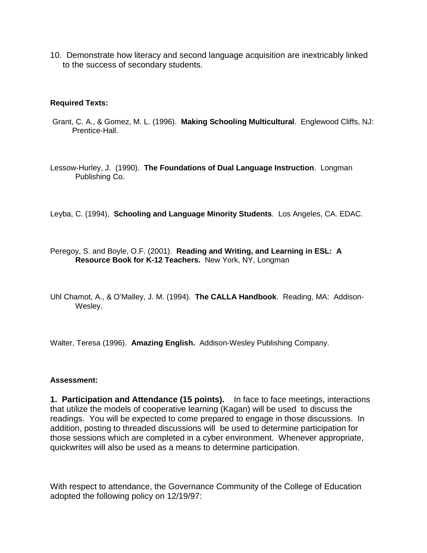10. Demonstrate how literacy and second language acquisition are inextricably linked to the success of secondary students.

#### **Required Texts:**

Grant, C. A., & Gomez, M. L. (1996). **Making Schooling Multicultural**. Englewood Cliffs, NJ: Prentice-Hall.

Lessow-Hurley, J. (1990). **The Foundations of Dual Language Instruction**. Longman Publishing Co.

Leyba, C. (1994), **Schooling and Language Minority Students**. Los Angeles, CA. EDAC.

Peregoy, S. and Boyle, O.F. (2001). **Reading and Writing, and Learning in ESL: A Resource Book for K-12 Teachers.** New York, NY, Longman

Uhl Chamot, A., & O'Malley, J. M. (1994). **The CALLA Handbook**. Reading, MA: Addison-Wesley.

Walter, Teresa (1996). **Amazing English.** Addison-Wesley Publishing Company.

#### **Assessment:**

**1. Participation and Attendance (15 points).** In face to face meetings, interactions that utilize the models of cooperative learning (Kagan) will be used to discuss the readings. You will be expected to come prepared to engage in those discussions. In addition, posting to threaded discussions will be used to determine participation for those sessions which are completed in a cyber environment. Whenever appropriate, quickwrites will also be used as a means to determine participation.

With respect to attendance, the Governance Community of the College of Education adopted the following policy on 12/19/97: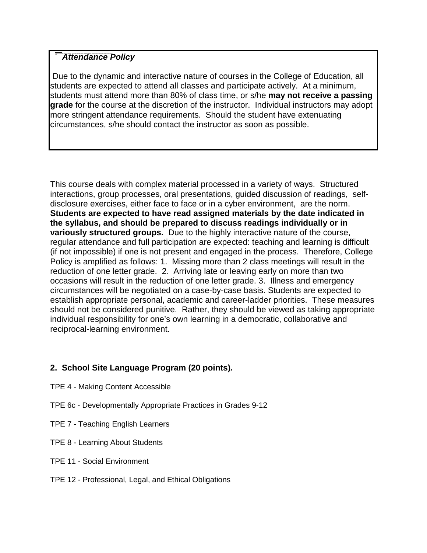## **The linkel include Section**

Due to the dynamic and interactive nature of courses in the College of Education, all students are expected to attend all classes and participate actively. At a minimum, students must attend more than 80% of class time, or s/he **may not receive a passing grade** for the course at the discretion of the instructor. Individual instructors may adopt more stringent attendance requirements. Should the student have extenuating circumstances, s/he should contact the instructor as soon as possible.

This course deals with complex material processed in a variety of ways. Structured interactions, group processes, oral presentations, guided discussion of readings, selfdisclosure exercises, either face to face or in a cyber environment, are the norm. **Students are expected to have read assigned materials by the date indicated in the syllabus, and should be prepared to discuss readings individually or in variously structured groups.** Due to the highly interactive nature of the course, regular attendance and full participation are expected: teaching and learning is difficult (if not impossible) if one is not present and engaged in the process. Therefore, College Policy is amplified as follows: 1. Missing more than 2 class meetings will result in the reduction of one letter grade. 2. Arriving late or leaving early on more than two occasions will result in the reduction of one letter grade. 3. Illness and emergency circumstances will be negotiated on a case-by-case basis. Students are expected to establish appropriate personal, academic and career-ladder priorities. These measures should not be considered punitive. Rather, they should be viewed as taking appropriate individual responsibility for one's own learning in a democratic, collaborative and reciprocal-learning environment.

## **2. School Site Language Program (20 points)***.*

- TPE 4 Making Content Accessible
- TPE 6c Developmentally Appropriate Practices in Grades 9-12
- TPE 7 Teaching English Learners
- TPE 8 Learning About Students
- TPE 11 Social Environment
- TPE 12 Professional, Legal, and Ethical Obligations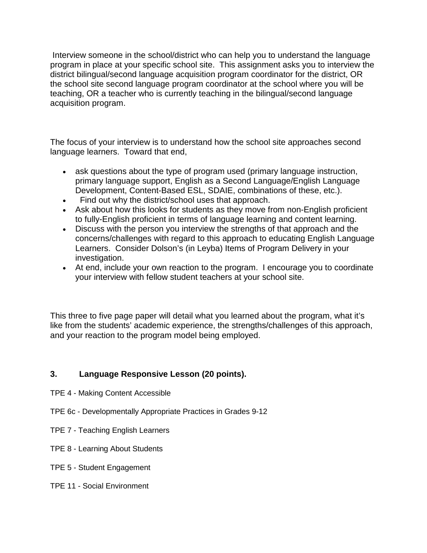Interview someone in the school/district who can help you to understand the language program in place at your specific school site. This assignment asks you to interview the district bilingual/second language acquisition program coordinator for the district, OR the school site second language program coordinator at the school where you will be teaching, OR a teacher who is currently teaching in the bilingual/second language acquisition program.

The focus of your interview is to understand how the school site approaches second language learners. Toward that end,

- ask questions about the type of program used (primary language instruction, primary language support, English as a Second Language/English Language Development, Content-Based ESL, SDAIE, combinations of these, etc.).
- Find out why the district/school uses that approach.
- Ask about how this looks for students as they move from non-English proficient to fully-English proficient in terms of language learning and content learning.
- Discuss with the person you interview the strengths of that approach and the concerns/challenges with regard to this approach to educating English Language Learners. Consider Dolson's (in Leyba) Items of Program Delivery in your investigation.
- At end, include your own reaction to the program. I encourage you to coordinate your interview with fellow student teachers at your school site.

This three to five page paper will detail what you learned about the program, what it's like from the students' academic experience, the strengths/challenges of this approach, and your reaction to the program model being employed.

## **3. Language Responsive Lesson (20 points).**

- TPE 4 Making Content Accessible
- TPE 6c Developmentally Appropriate Practices in Grades 9-12
- TPE 7 Teaching English Learners
- TPE 8 Learning About Students
- TPE 5 Student Engagement
- TPE 11 Social Environment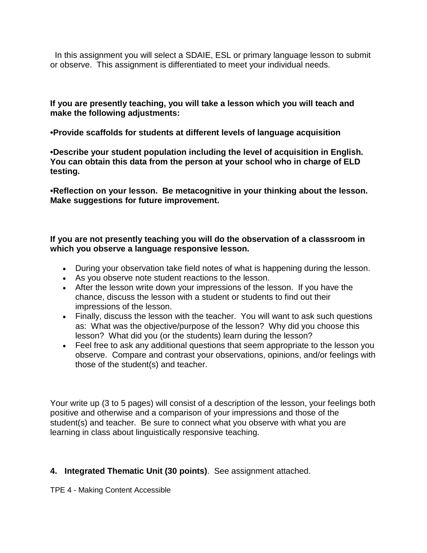In this assignment you will select a SDAIE, ESL or primary language lesson to submit or observe. This assignment is differentiated to meet your individual needs.

**If you are presently teaching, you will take a lesson which you will teach and make the following adjustments:**

**•Provide scaffolds for students at different levels of language acquisition**

**•Describe your student population including the level of acquisition in English. You can obtain this data from the person at your school who in charge of ELD testing.**

**•Reflection on your lesson. Be metacognitive in your thinking about the lesson. Make suggestions for future improvement.**

## **If you are not presently teaching you will do the observation of a classsroom in which you observe a language responsive lesson.**

- During your observation take field notes of what is happening during the lesson.
- As you observe note student reactions to the lesson.
- After the lesson write down your impressions of the lesson. If you have the chance, discuss the lesson with a student or students to find out their impressions of the lesson.
- Finally, discuss the lesson with the teacher. You will want to ask such questions as: What was the objective/purpose of the lesson? Why did you choose this lesson? What did you (or the students) learn during the lesson?
- Feel free to ask any additional questions that seem appropriate to the lesson you observe. Compare and contrast your observations, opinions, and/or feelings with those of the student(s) and teacher.

Your write up (3 to 5 pages) will consist of a description of the lesson, your feelings both positive and otherwise and a comparison of your impressions and those of the student(s) and teacher. Be sure to connect what you observe with what you are learning in class about linguistically responsive teaching.

## **4. Integrated Thematic Unit (30 points)**. See assignment attached.

TPE 4 - Making Content Accessible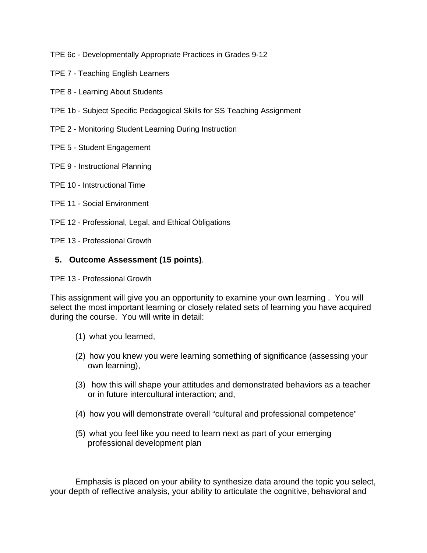TPE 6c - Developmentally Appropriate Practices in Grades 9-12

- TPE 7 Teaching English Learners
- TPE 8 Learning About Students
- TPE 1b Subject Specific Pedagogical Skills for SS Teaching Assignment
- TPE 2 Monitoring Student Learning During Instruction
- TPE 5 Student Engagement
- TPE 9 Instructional Planning
- TPE 10 Intstructional Time
- TPE 11 Social Environment
- TPE 12 Professional, Legal, and Ethical Obligations
- TPE 13 Professional Growth

## **5. Outcome Assessment (15 points)**.

TPE 13 - Professional Growth

This assignment will give you an opportunity to examine your own learning . You will select the most important learning or closely related sets of learning you have acquired during the course. You will write in detail:

- (1) what you learned,
- (2) how you knew you were learning something of significance (assessing your own learning),
- (3) how this will shape your attitudes and demonstrated behaviors as a teacher or in future intercultural interaction; and,
- (4) how you will demonstrate overall "cultural and professional competence"
- (5) what you feel like you need to learn next as part of your emerging professional development plan

Emphasis is placed on your ability to synthesize data around the topic you select, your depth of reflective analysis, your ability to articulate the cognitive, behavioral and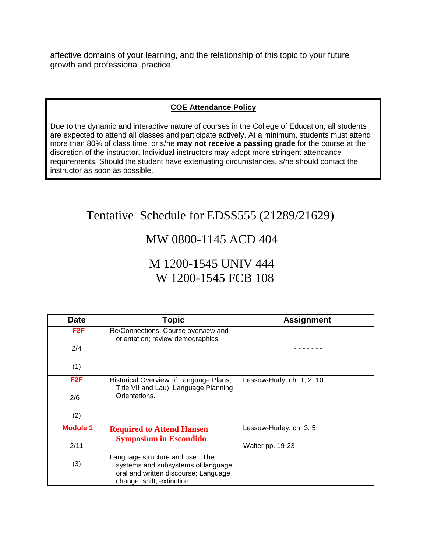affective domains of your learning, and the relationship of this topic to your future growth and professional practice.

## **COE Attendance Policy**

Due to the dynamic and interactive nature of courses in the College of Education, all students are expected to attend all classes and participate actively. At a minimum, students must attend more than 80% of class time, or s/he **may not receive a passing grade** for the course at the discretion of the instructor. Individual instructors may adopt more stringent attendance requirements. Should the student have extenuating circumstances, s/he should contact the instructor as soon as possible.

# Tentative Schedule for EDSS555 (21289/21629)

## MW 0800-1145 ACD 404

# M 1200-1545 UNIV 444 W 1200-1545 FCB 108

| <b>Date</b>     | <b>Topic</b>                                                                                                                                 | <b>Assignment</b>          |
|-----------------|----------------------------------------------------------------------------------------------------------------------------------------------|----------------------------|
| F2F             | Re/Connections; Course overview and<br>orientation; review demographics                                                                      |                            |
| 2/4             |                                                                                                                                              |                            |
| (1)             |                                                                                                                                              |                            |
| F2F             | Historical Overview of Language Plans;<br>Title VII and Lau); Language Planning                                                              | Lessow-Hurly, ch. 1, 2, 10 |
| 2/6             | Orientations.                                                                                                                                |                            |
| (2)             |                                                                                                                                              |                            |
| <b>Module 1</b> | <b>Required to Attend Hansen</b>                                                                                                             | Lessow-Hurley, ch. 3, 5    |
| 2/11            | <b>Symposium in Escondido</b>                                                                                                                | Walter pp. 19-23           |
| (3)             | Language structure and use: The<br>systems and subsystems of language,<br>oral and written discourse; Language<br>change, shift, extinction. |                            |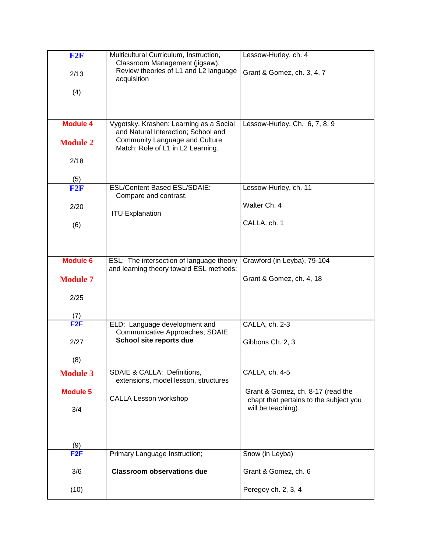| F2F             | Multicultural Curriculum, Instruction,<br>Classroom Management (jigsaw);            | Lessow-Hurley, ch. 4                                        |
|-----------------|-------------------------------------------------------------------------------------|-------------------------------------------------------------|
| 2/13            | Review theories of L1 and L2 language<br>acquisition                                | Grant & Gomez, ch. 3, 4, 7                                  |
| (4)             |                                                                                     |                                                             |
|                 |                                                                                     |                                                             |
| <b>Module 4</b> | Vygotsky, Krashen: Learning as a Social<br>and Natural Interaction; School and      | Lessow-Hurley, Ch. 6, 7, 8, 9                               |
| <b>Module 2</b> | Community Language and Culture<br>Match; Role of L1 in L2 Learning.                 |                                                             |
| 2/18            |                                                                                     |                                                             |
| (5)             |                                                                                     |                                                             |
| F2F             | <b>ESL/Content Based ESL/SDAIE:</b><br>Compare and contrast.                        | Lessow-Hurley, ch. 11                                       |
| 2/20            | <b>ITU Explanation</b>                                                              | Walter Ch. 4                                                |
| (6)             |                                                                                     | CALLA, ch. 1                                                |
|                 |                                                                                     |                                                             |
| <b>Module 6</b> | ESL: The intersection of language theory<br>and learning theory toward ESL methods; | Crawford (in Leyba), 79-104                                 |
| <b>Module 7</b> |                                                                                     | Grant & Gomez, ch. 4, 18                                    |
| 2/25            |                                                                                     |                                                             |
| (7)             |                                                                                     |                                                             |
| F2F             | ELD: Language development and<br>Communicative Approaches; SDAIE                    | CALLA, ch. 2-3                                              |
| 2/27            | School site reports due                                                             | Gibbons Ch. 2, 3                                            |
| (8)             |                                                                                     |                                                             |
| <b>Module 3</b> | SDAIE & CALLA: Definitions,<br>extensions, model lesson, structures                 | CALLA, ch. 4-5                                              |
| <b>Module 5</b> | CALLA Lesson workshop                                                               | Grant & Gomez, ch. 8-17 (read the                           |
| 3/4             |                                                                                     | chapt that pertains to the subject you<br>will be teaching) |
|                 |                                                                                     |                                                             |
| (9)             |                                                                                     |                                                             |
| F <sub>2F</sub> | Primary Language Instruction;                                                       | Snow (in Leyba)                                             |
| 3/6             | <b>Classroom observations due</b>                                                   | Grant & Gomez, ch. 6                                        |
| (10)            |                                                                                     | Peregoy ch. 2, 3, 4                                         |